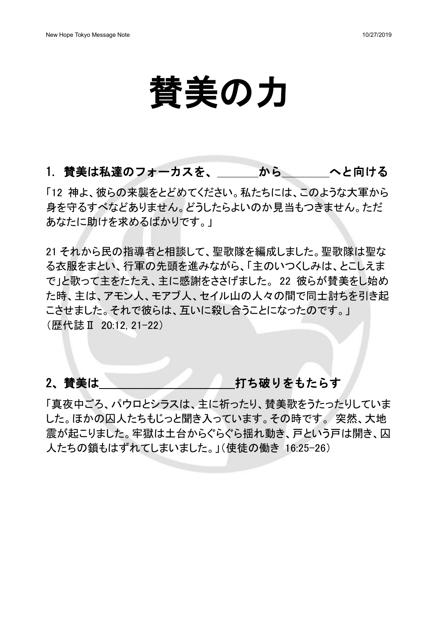# 賛美の力

#### 1. 賛美は私達のフォーカスを、 から へと向ける

「12 神よ、彼らの来襲をとどめてください。私たちには、このような大軍から 身を守るすべなどありません。どうしたらよいのか見当もつきません。ただ あなたに助けを求めるばかりです。」

21 それから民の指導者と相談して、聖歌隊を編成しました。聖歌隊は聖な る衣服をまとい、行軍の先頭を進みながら、「主のいつくしみは、とこしえま で」と歌って主をたたえ、主に感謝をささげました。22 彼らが替美をし始め た時、主は、アモン人、モアブ人、セイル山の人々の間で同士討ちを引き起 こさせました。それで彼らは、互いに殺し合うことになったのです。」 (歴代誌Ⅱ 20:12, 21-22)

#### 2、替美は インタン 打ち破りをもたらす

「真夜中ごろ、パウロとシラスは、主に祈ったり、賛美歌をうたったりしていま した。ほかの囚人たちもじっと聞き入っています。その時です。 突然、大地 震が起こりました。牢獄は土台からぐらぐら揺れ動き、戸という戸は開き、囚 人たちの鎖もはずれてしまいました。」(使徒の働き 16:25-26)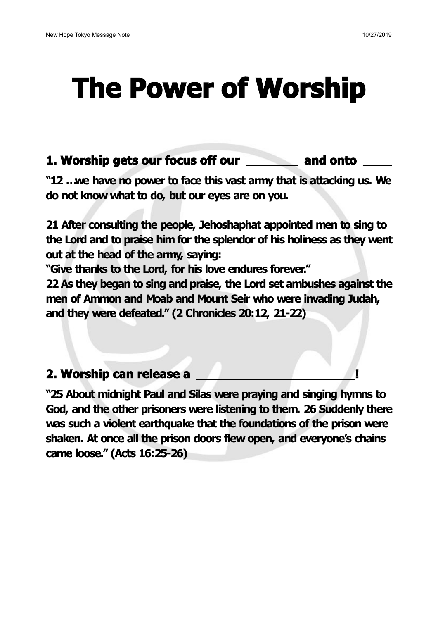## **The Power of Worship**

#### **1. Worship gets our focus off our and onto**

**"12 …we have no power to face this vast army that is attacking us. We do not know what to do, but our eyes are on you.**

**21 After consulting the people, Jehoshaphat appointed men to sing to the Lord and to praise him for the splendor of his holiness as they went out at the head of the army, saying:**

**"Give thanks to the Lord, for his love endures forever."**

**22 As they began to sing and praise, the Lord set ambushes against the men of Ammon and Moab and Mount Seir who were invading Judah, and they were defeated." (2 Chronicles 20:12, 21-22)**

### **2. Worship can release a !**

**"25 About midnight Pauland Silas were praying and singing hymns to God, and the other prisoners were listening to them. 26 Suddenly there was such aviolent earthquake that the foundations of the prison were shaken. At once all the prison doors flew open, and everyone's chains came loose." (Acts 16:25-26)**